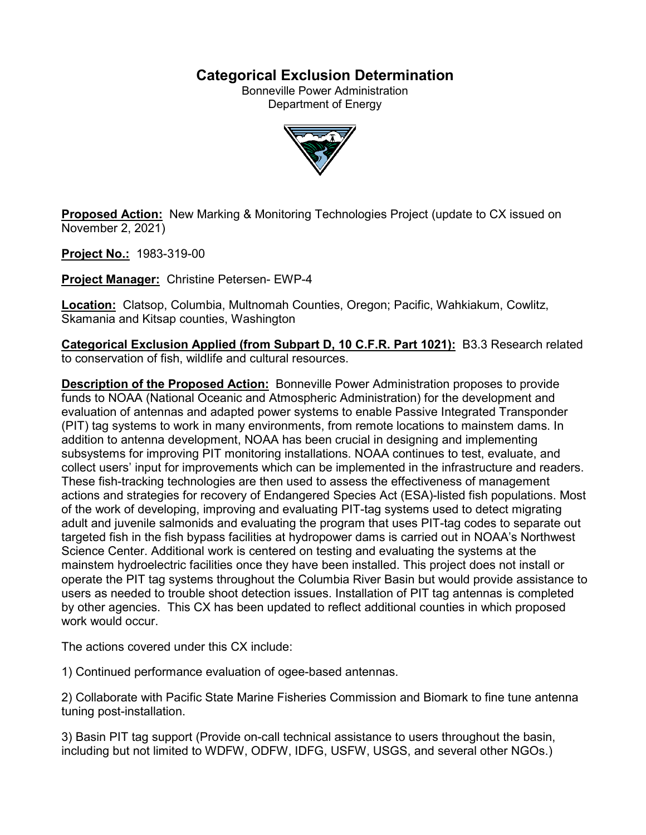## **Categorical Exclusion Determination**

Bonneville Power Administration Department of Energy



**Proposed Action:** New Marking & Monitoring Technologies Project (update to CX issued on November 2, 2021)

**Project No.:** 1983-319-00

**Project Manager:** Christine Petersen- EWP-4

**Location:** Clatsop, Columbia, Multnomah Counties, Oregon; Pacific, Wahkiakum, Cowlitz, Skamania and Kitsap counties, Washington

**Categorical Exclusion Applied (from Subpart D, 10 C.F.R. Part 1021):** B3.3 Research related to conservation of fish, wildlife and cultural resources.

**Description of the Proposed Action:** Bonneville Power Administration proposes to provide funds to NOAA (National Oceanic and Atmospheric Administration) for the development and evaluation of antennas and adapted power systems to enable Passive Integrated Transponder (PIT) tag systems to work in many environments, from remote locations to mainstem dams. In addition to antenna development, NOAA has been crucial in designing and implementing subsystems for improving PIT monitoring installations. NOAA continues to test, evaluate, and collect users' input for improvements which can be implemented in the infrastructure and readers. These fish-tracking technologies are then used to assess the effectiveness of management actions and strategies for recovery of Endangered Species Act (ESA)-listed fish populations. Most of the work of developing, improving and evaluating PIT-tag systems used to detect migrating adult and juvenile salmonids and evaluating the program that uses PIT-tag codes to separate out targeted fish in the fish bypass facilities at hydropower dams is carried out in NOAA's Northwest Science Center. Additional work is centered on testing and evaluating the systems at the mainstem hydroelectric facilities once they have been installed. This project does not install or operate the PIT tag systems throughout the Columbia River Basin but would provide assistance to users as needed to trouble shoot detection issues. Installation of PIT tag antennas is completed by other agencies. This CX has been updated to reflect additional counties in which proposed work would occur.

The actions covered under this CX include:

1) Continued performance evaluation of ogee-based antennas.

2) Collaborate with Pacific State Marine Fisheries Commission and Biomark to fine tune antenna tuning post-installation.

3) Basin PIT tag support (Provide on-call technical assistance to users throughout the basin, including but not limited to WDFW, ODFW, IDFG, USFW, USGS, and several other NGOs.)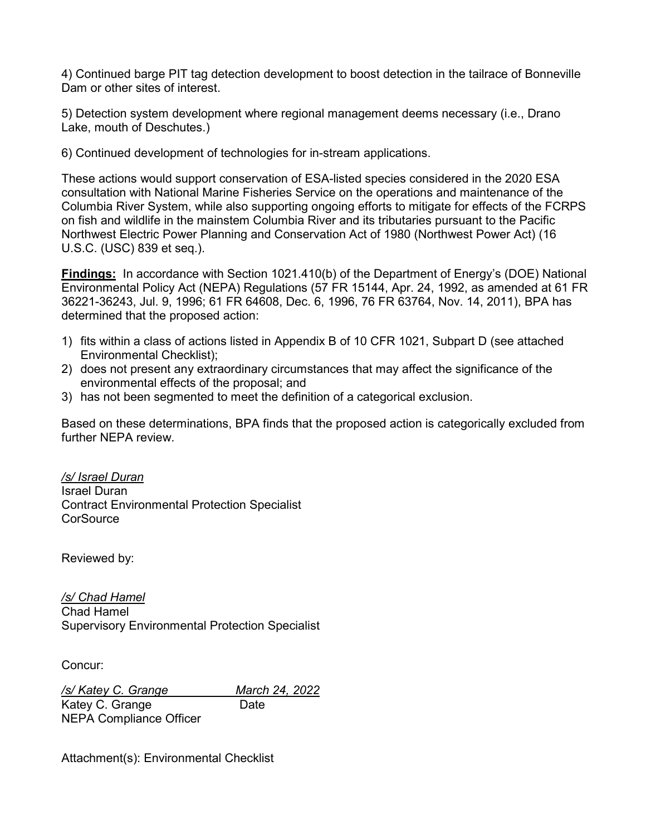4) Continued barge PIT tag detection development to boost detection in the tailrace of Bonneville Dam or other sites of interest.

5) Detection system development where regional management deems necessary (i.e., Drano Lake, mouth of Deschutes.)

6) Continued development of technologies for in-stream applications.

These actions would support conservation of ESA-listed species considered in the 2020 ESA consultation with National Marine Fisheries Service on the operations and maintenance of the Columbia River System, while also supporting ongoing efforts to mitigate for effects of the FCRPS on fish and wildlife in the mainstem Columbia River and its tributaries pursuant to the Pacific Northwest Electric Power Planning and Conservation Act of 1980 (Northwest Power Act) (16 U.S.C. (USC) 839 et seq.).

**Findings:** In accordance with Section 1021.410(b) of the Department of Energy's (DOE) National Environmental Policy Act (NEPA) Regulations (57 FR 15144, Apr. 24, 1992, as amended at 61 FR 36221-36243, Jul. 9, 1996; 61 FR 64608, Dec. 6, 1996, 76 FR 63764, Nov. 14, 2011), BPA has determined that the proposed action:

- 1) fits within a class of actions listed in Appendix B of 10 CFR 1021, Subpart D (see attached Environmental Checklist);
- 2) does not present any extraordinary circumstances that may affect the significance of the environmental effects of the proposal; and
- 3) has not been segmented to meet the definition of a categorical exclusion.

Based on these determinations, BPA finds that the proposed action is categorically excluded from further NEPA review.

*/s/ Israel Duran* Israel Duran Contract Environmental Protection Specialist **CorSource** 

Reviewed by:

*/s/ Chad Hamel* Chad Hamel Supervisory Environmental Protection Specialist

Concur:

*/s/ Katey C. Grange March 24, 2022* Katey C. Grange Date NEPA Compliance Officer

Attachment(s): Environmental Checklist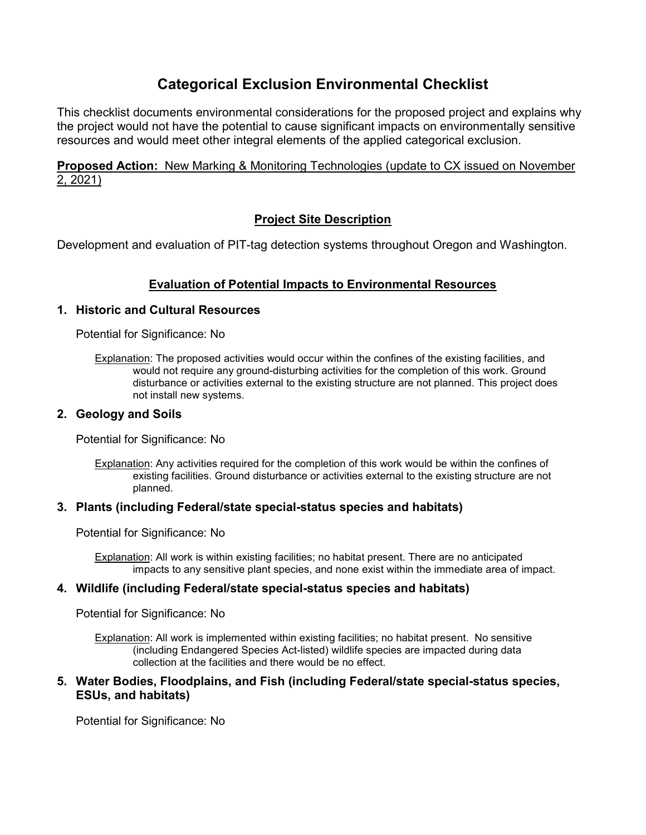# **Categorical Exclusion Environmental Checklist**

This checklist documents environmental considerations for the proposed project and explains why the project would not have the potential to cause significant impacts on environmentally sensitive resources and would meet other integral elements of the applied categorical exclusion.

## **Proposed Action:** New Marking & Monitoring Technologies (update to CX issued on November 2, 2021)

## **Project Site Description**

Development and evaluation of PIT-tag detection systems throughout Oregon and Washington.

## **Evaluation of Potential Impacts to Environmental Resources**

#### **1. Historic and Cultural Resources**

Potential for Significance: No

Explanation: The proposed activities would occur within the confines of the existing facilities, and would not require any ground-disturbing activities for the completion of this work. Ground disturbance or activities external to the existing structure are not planned. This project does not install new systems.

#### **2. Geology and Soils**

Potential for Significance: No

Explanation: Any activities required for the completion of this work would be within the confines of existing facilities. Ground disturbance or activities external to the existing structure are not planned.

#### **3. Plants (including Federal/state special-status species and habitats)**

Potential for Significance: No

Explanation: All work is within existing facilities; no habitat present. There are no anticipated impacts to any sensitive plant species, and none exist within the immediate area of impact.

### **4. Wildlife (including Federal/state special-status species and habitats)**

Potential for Significance: No

Explanation: All work is implemented within existing facilities; no habitat present. No sensitive (including Endangered Species Act-listed) wildlife species are impacted during data collection at the facilities and there would be no effect.

#### **5. Water Bodies, Floodplains, and Fish (including Federal/state special-status species, ESUs, and habitats)**

Potential for Significance: No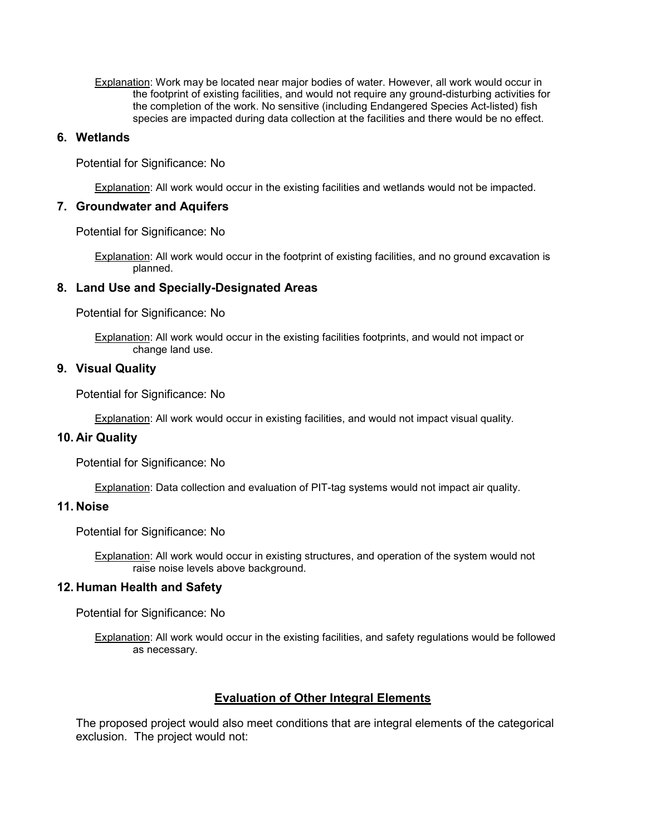Explanation: Work may be located near major bodies of water. However, all work would occur in the footprint of existing facilities, and would not require any ground-disturbing activities for the completion of the work. No sensitive (including Endangered Species Act-listed) fish species are impacted during data collection at the facilities and there would be no effect.

#### **6. Wetlands**

Potential for Significance: No

Explanation: All work would occur in the existing facilities and wetlands would not be impacted.

#### **7. Groundwater and Aquifers**

Potential for Significance: No

Explanation: All work would occur in the footprint of existing facilities, and no ground excavation is planned.

#### **8. Land Use and Specially-Designated Areas**

Potential for Significance: No

Explanation: All work would occur in the existing facilities footprints, and would not impact or change land use.

#### **9. Visual Quality**

Potential for Significance: No

Explanation: All work would occur in existing facilities, and would not impact visual quality.

#### **10. Air Quality**

Potential for Significance: No

Explanation: Data collection and evaluation of PIT-tag systems would not impact air quality.

## **11. Noise**

Potential for Significance: No

Explanation: All work would occur in existing structures, and operation of the system would not raise noise levels above background.

#### **12. Human Health and Safety**

Potential for Significance: No

Explanation: All work would occur in the existing facilities, and safety regulations would be followed as necessary.

#### **Evaluation of Other Integral Elements**

The proposed project would also meet conditions that are integral elements of the categorical exclusion. The project would not: